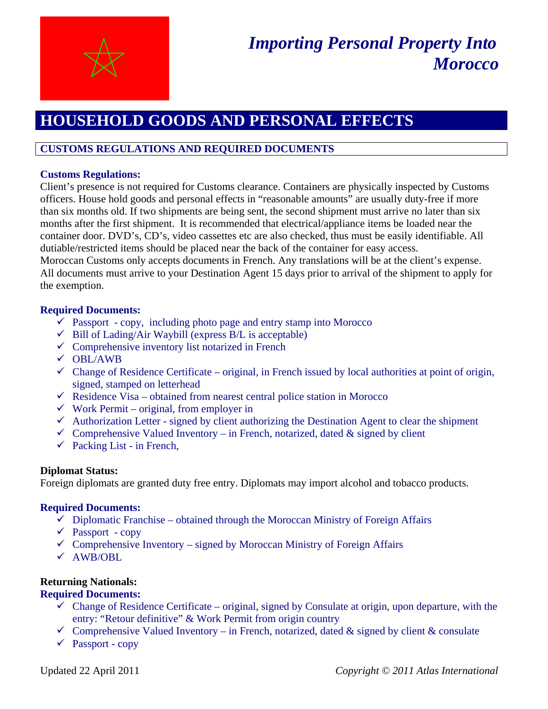

# **HOUSEHOLD GOODS AND PERSONAL EFFECTS**

# **CUSTOMS REGULATIONS AND REQUIRED DOCUMENTS**

### **Customs Regulations:**

Client's presence is not required for Customs clearance. Containers are physically inspected by Customs officers. House hold goods and personal effects in "reasonable amounts" are usually duty-free if more than six months old. If two shipments are being sent, the second shipment must arrive no later than six months after the first shipment. It is recommended that electrical/appliance items be loaded near the container door. DVD's, CD's, video cassettes etc are also checked, thus must be easily identifiable. All dutiable/restricted items should be placed near the back of the container for easy access.

Moroccan Customs only accepts documents in French. Any translations will be at the client's expense. All documents must arrive to your Destination Agent 15 days prior to arrival of the shipment to apply for the exemption.

## **Required Documents:**

- $\checkmark$  Passport copy, including photo page and entry stamp into Morocco
- $\checkmark$  Bill of Lading/Air Waybill (express B/L is acceptable)
- $\checkmark$  Comprehensive inventory list notarized in French
- $\sqrt{\text{OBL/AWB}}$
- $\checkmark$  Change of Residence Certificate original, in French issued by local authorities at point of origin, signed, stamped on letterhead
- $\checkmark$  Residence Visa obtained from nearest central police station in Morocco
- $\checkmark$  Work Permit original, from employer in
- $\checkmark$  Authorization Letter signed by client authorizing the Destination Agent to clear the shipment
- $\checkmark$  Comprehensive Valued Inventory in French, notarized, dated & signed by client
- $\checkmark$  Packing List in French,

#### **Diplomat Status:**

Foreign diplomats are granted duty free entry. Diplomats may import alcohol and tobacco products.

#### **Required Documents:**

- $\checkmark$  Diplomatic Franchise obtained through the Moroccan Ministry of Foreign Affairs
- $\checkmark$  Passport copy
- $\checkmark$  Comprehensive Inventory signed by Moroccan Ministry of Foreign Affairs
- $\sqrt{\text{AWB/OBL}}$

## **Returning Nationals:**

#### **Required Documents:**

- $\checkmark$  Change of Residence Certificate original, signed by Consulate at origin, upon departure, with the entry: "Retour definitive" & Work Permit from origin country
- $\checkmark$  Comprehensive Valued Inventory in French, notarized, dated & signed by client & consulate
- $\checkmark$  Passport copy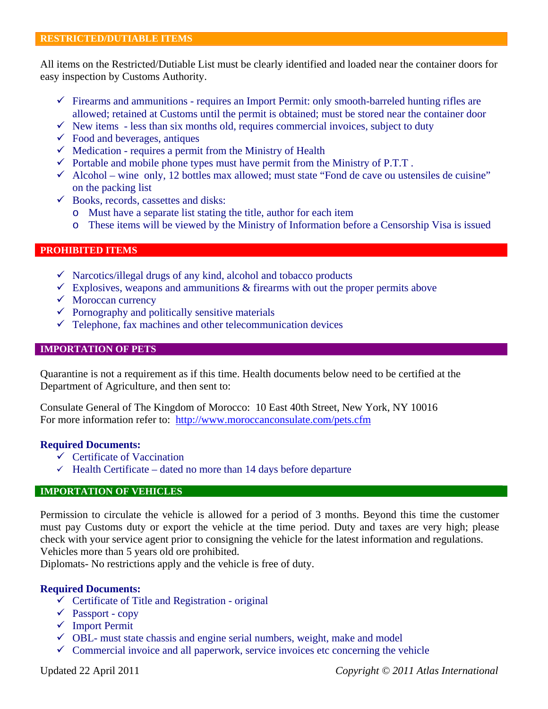All items on the Restricted/Dutiable List must be clearly identified and loaded near the container doors for easy inspection by Customs Authority.

- $\checkmark$  Firearms and ammunitions requires an Import Permit: only smooth-barreled hunting rifles are allowed; retained at Customs until the permit is obtained; must be stored near the container door
- $\checkmark$  New items less than six months old, requires commercial invoices, subject to duty
- $\checkmark$  Food and beverages, antiques
- $\checkmark$  Medication requires a permit from the Ministry of Health
- $\checkmark$  Portable and mobile phone types must have permit from the Ministry of P.T.T.
- $\checkmark$  Alcohol wine only, 12 bottles max allowed; must state "Fond de cave ou ustensiles de cuisine" on the packing list
- $\checkmark$  Books, records, cassettes and disks:
	- o Must have a separate list stating the title, author for each item
	- o These items will be viewed by the Ministry of Information before a Censorship Visa is issued

#### **PROHIBITED ITEMS**

- $\checkmark$  Narcotics/illegal drugs of any kind, alcohol and tobacco products
- $\checkmark$  Explosives, we the set of ammunitions & firearms with out the proper permits above
- $\checkmark$  Moroccan currency
- $\checkmark$  Pornography and politically sensitive materials
- $\checkmark$  Telephone, fax machines and other telecommunication devices

#### **IMPORTATION OF PETS**

Quarantine is not a requirement as if this time. Health documents below need to be certified at the Department of Agriculture, and then sent to:

Consulate General of The Kingdom of Morocco: 10 East 40th Street, New York, NY 10016 For more information refer to: http://www.moroccanconsulate.com/pets.cfm

#### **Required Documents:**

- $\checkmark$  Certificate of Vaccination
- $\checkmark$  Health Certificate dated no more than 14 days before departure

#### **IMPORTATION OF VEHICLES**

Permission to circulate the vehicle is allowed for a period of 3 months. Beyond this time the customer must pay Customs duty or export the vehicle at the time period. Duty and taxes are very high; please check with your service agent prior to consigning the vehicle for the latest information and regulations. Vehicles more than 5 years old ore prohibited.

Diplomats- No restrictions apply and the vehicle is free of duty.

#### **Required Documents:**

- $\checkmark$  Certificate of Title and Registration original
- $\checkmark$  Passport copy
- $\checkmark$  Import Permit
- $\checkmark$  OBL- must state chassis and engine serial numbers, weight, make and model
- $\checkmark$  Commercial invoice and all paperwork, service invoices etc concerning the vehicle